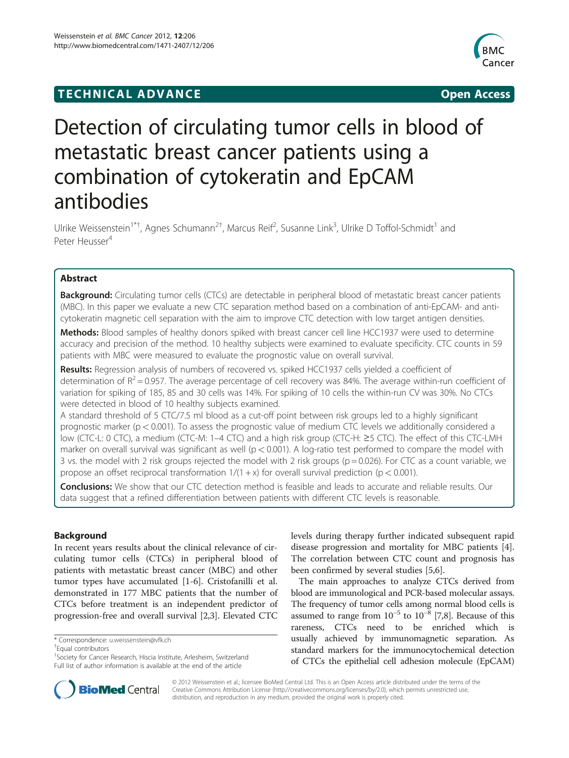## **TECHNICAL ADVANCE CONSUMING A LIGACION** COPEN ACCESS



# Detection of circulating tumor cells in blood of metastatic breast cancer patients using a combination of cytokeratin and EpCAM antibodies

Ulrike Weissenstein<sup>1\*†</sup>, Agnes Schumann<sup>2†</sup>, Marcus Reif<sup>2</sup>, Susanne Link<sup>3</sup>, Ulrike D Toffol-Schmidt<sup>1</sup> and Peter Heusser<sup>4</sup>

### Abstract

Background: Circulating tumor cells (CTCs) are detectable in peripheral blood of metastatic breast cancer patients (MBC). In this paper we evaluate a new CTC separation method based on a combination of anti-EpCAM- and anticytokeratin magnetic cell separation with the aim to improve CTC detection with low target antigen densities.

Methods: Blood samples of healthy donors spiked with breast cancer cell line HCC1937 were used to determine accuracy and precision of the method. 10 healthy subjects were examined to evaluate specificity. CTC counts in 59 patients with MBC were measured to evaluate the prognostic value on overall survival.

Results: Regression analysis of numbers of recovered vs. spiked HCC1937 cells yielded a coefficient of determination of  $R^2 = 0.957$ . The average percentage of cell recovery was 84%. The average within-run coefficient of variation for spiking of 185, 85 and 30 cells was 14%. For spiking of 10 cells the within-run CV was 30%. No CTCs were detected in blood of 10 healthy subjects examined.

A standard threshold of 5 CTC/7.5 ml blood as a cut-off point between risk groups led to a highly significant prognostic marker (p < 0.001). To assess the prognostic value of medium CTC levels we additionally considered a low (CTC-L: 0 CTC), a medium (CTC-M: 1–4 CTC) and a high risk group (CTC-H: ≥5 CTC). The effect of this CTC-LMH marker on overall survival was significant as well ( $p < 0.001$ ). A log-ratio test performed to compare the model with 3 vs. the model with 2 risk groups rejected the model with 2 risk groups ( $p = 0.026$ ). For CTC as a count variable, we propose an offset reciprocal transformation  $1/(1 + x)$  for overall survival prediction (p < 0.001).

**Conclusions:** We show that our CTC detection method is feasible and leads to accurate and reliable results. Our data suggest that a refined differentiation between patients with different CTC levels is reasonable.

#### Background

In recent years results about the clinical relevance of circulating tumor cells (CTCs) in peripheral blood of patients with metastatic breast cancer (MBC) and other tumor types have accumulated [\[1-6](#page-6-0)]. Cristofanilli et al. demonstrated in 177 MBC patients that the number of CTCs before treatment is an independent predictor of progression-free and overall survival [[2,3\]](#page-6-0). Elevated CTC

Equal contributors

levels during therapy further indicated subsequent rapid disease progression and mortality for MBC patients [\[4](#page-6-0)]. The correlation between CTC count and prognosis has been confirmed by several studies [\[5](#page-6-0),[6](#page-6-0)].

The main approaches to analyze CTCs derived from blood are immunological and PCR-based molecular assays. The frequency of tumor cells among normal blood cells is assumed to range from  $10^{-5}$  to  $10^{-8}$  [[7,8](#page-6-0)]. Because of this rareness, CTCs need to be enriched which is usually achieved by immunomagnetic separation. As standard markers for the immunocytochemical detection of CTCs the epithelial cell adhesion molecule (EpCAM)



© 2012 Weissenstein et al.; licensee BioMed Central Ltd. This is an Open Access article distributed under the terms of the Creative Commons Attribution License [\(http://creativecommons.org/licenses/by/2.0](http://creativecommons.org/licenses/by/2.0)), which permits unrestricted use, distribution, and reproduction in any medium, provided the original work is properly cited.

<sup>\*</sup> Correspondence: [u.weissenstein@vfk.ch](mailto:u.weissenstein@vfk.ch) †

<sup>&</sup>lt;sup>1</sup>Society for Cancer Research, Hiscia Institute, Arlesheim, Switzerland Full list of author information is available at the end of the article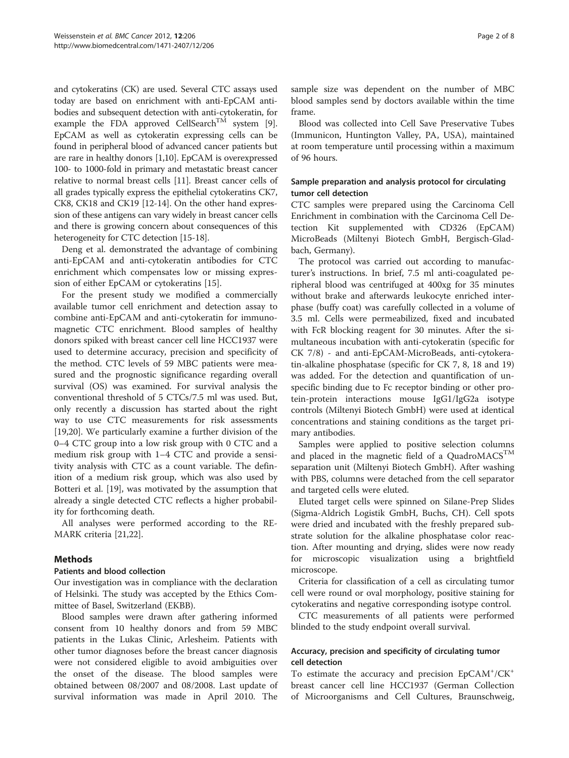and cytokeratins (CK) are used. Several CTC assays used today are based on enrichment with anti-EpCAM antibodies and subsequent detection with anti-cytokeratin, for example the FDA approved CellSearch<sup>TM</sup> system [[9](#page-6-0)]. EpCAM as well as cytokeratin expressing cells can be found in peripheral blood of advanced cancer patients but are rare in healthy donors [[1,10\]](#page-6-0). EpCAM is overexpressed 100- to 1000-fold in primary and metastatic breast cancer relative to normal breast cells [\[11\]](#page-6-0). Breast cancer cells of all grades typically express the epithelial cytokeratins CK7, CK8, CK18 and CK19 [[12](#page-7-0)-[14](#page-7-0)]. On the other hand expression of these antigens can vary widely in breast cancer cells and there is growing concern about consequences of this heterogeneity for CTC detection [\[15-18](#page-7-0)].

Deng et al. demonstrated the advantage of combining anti-EpCAM and anti-cytokeratin antibodies for CTC enrichment which compensates low or missing expression of either EpCAM or cytokeratins [\[15\]](#page-7-0).

For the present study we modified a commercially available tumor cell enrichment and detection assay to combine anti-EpCAM and anti-cytokeratin for immunomagnetic CTC enrichment. Blood samples of healthy donors spiked with breast cancer cell line HCC1937 were used to determine accuracy, precision and specificity of the method. CTC levels of 59 MBC patients were measured and the prognostic significance regarding overall survival (OS) was examined. For survival analysis the conventional threshold of 5 CTCs/7.5 ml was used. But, only recently a discussion has started about the right way to use CTC measurements for risk assessments [[19,20\]](#page-7-0). We particularly examine a further division of the 0–4 CTC group into a low risk group with 0 CTC and a medium risk group with 1–4 CTC and provide a sensitivity analysis with CTC as a count variable. The definition of a medium risk group, which was also used by Botteri et al. [\[19](#page-7-0)], was motivated by the assumption that already a single detected CTC reflects a higher probability for forthcoming death.

All analyses were performed according to the RE-MARK criteria [\[21,22\]](#page-7-0).

#### **Mathods**

#### Patients and blood collection

Our investigation was in compliance with the declaration of Helsinki. The study was accepted by the Ethics Committee of Basel, Switzerland (EKBB).

Blood samples were drawn after gathering informed consent from 10 healthy donors and from 59 MBC patients in the Lukas Clinic, Arlesheim. Patients with other tumor diagnoses before the breast cancer diagnosis were not considered eligible to avoid ambiguities over the onset of the disease. The blood samples were obtained between 08/2007 and 08/2008. Last update of survival information was made in April 2010. The

sample size was dependent on the number of MBC blood samples send by doctors available within the time frame.

Blood was collected into Cell Save Preservative Tubes (Immunicon, Huntington Valley, PA, USA), maintained at room temperature until processing within a maximum of 96 hours.

#### Sample preparation and analysis protocol for circulating tumor cell detection

CTC samples were prepared using the Carcinoma Cell Enrichment in combination with the Carcinoma Cell Detection Kit supplemented with CD326 (EpCAM) MicroBeads (Miltenyi Biotech GmbH, Bergisch-Gladbach, Germany).

The protocol was carried out according to manufacturer's instructions. In brief, 7.5 ml anti-coagulated peripheral blood was centrifuged at 400xg for 35 minutes without brake and afterwards leukocyte enriched interphase (buffy coat) was carefully collected in a volume of 3.5 ml. Cells were permeabilized, fixed and incubated with FcR blocking reagent for 30 minutes. After the simultaneous incubation with anti-cytokeratin (specific for CK 7/8) - and anti-EpCAM-MicroBeads, anti-cytokeratin-alkaline phosphatase (specific for CK 7, 8, 18 and 19) was added. For the detection and quantification of unspecific binding due to Fc receptor binding or other protein-protein interactions mouse IgG1/IgG2a isotype controls (Miltenyi Biotech GmbH) were used at identical concentrations and staining conditions as the target primary antibodies.

Samples were applied to positive selection columns and placed in the magnetic field of a QuadroMACS<sup>TM</sup> separation unit (Miltenyi Biotech GmbH). After washing with PBS, columns were detached from the cell separator and targeted cells were eluted.

Eluted target cells were spinned on Silane-Prep Slides (Sigma-Aldrich Logistik GmbH, Buchs, CH). Cell spots were dried and incubated with the freshly prepared substrate solution for the alkaline phosphatase color reaction. After mounting and drying, slides were now ready for microscopic visualization using a brightfield microscope.

Criteria for classification of a cell as circulating tumor cell were round or oval morphology, positive staining for cytokeratins and negative corresponding isotype control.

CTC measurements of all patients were performed blinded to the study endpoint overall survival.

#### Accuracy, precision and specificity of circulating tumor cell detection

To estimate the accuracy and precision EpCAM<sup>+</sup>/CK<sup>+</sup> breast cancer cell line HCC1937 (German Collection of Microorganisms and Cell Cultures, Braunschweig,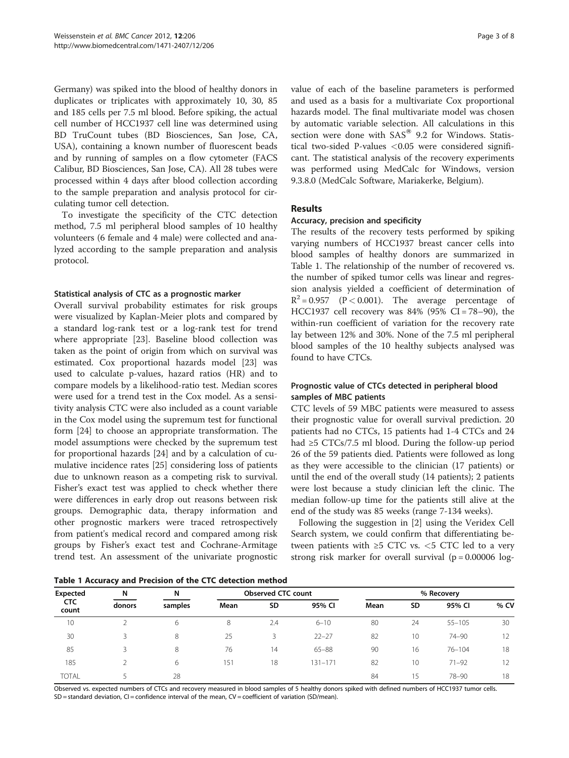Germany) was spiked into the blood of healthy donors in duplicates or triplicates with approximately 10, 30, 85 and 185 cells per 7.5 ml blood. Before spiking, the actual cell number of HCC1937 cell line was determined using BD TruCount tubes (BD Biosciences, San Jose, CA, USA), containing a known number of fluorescent beads and by running of samples on a flow cytometer (FACS Calibur, BD Biosciences, San Jose, CA). All 28 tubes were processed within 4 days after blood collection according to the sample preparation and analysis protocol for circulating tumor cell detection.

To investigate the specificity of the CTC detection method, 7.5 ml peripheral blood samples of 10 healthy volunteers (6 female and 4 male) were collected and analyzed according to the sample preparation and analysis protocol.

#### Statistical analysis of CTC as a prognostic marker

Overall survival probability estimates for risk groups were visualized by Kaplan-Meier plots and compared by a standard log-rank test or a log-rank test for trend where appropriate [\[23](#page-7-0)]. Baseline blood collection was taken as the point of origin from which on survival was estimated. Cox proportional hazards model [\[23](#page-7-0)] was used to calculate p-values, hazard ratios (HR) and to compare models by a likelihood-ratio test. Median scores were used for a trend test in the Cox model. As a sensitivity analysis CTC were also included as a count variable in the Cox model using the supremum test for functional form [\[24](#page-7-0)] to choose an appropriate transformation. The model assumptions were checked by the supremum test for proportional hazards [[24](#page-7-0)] and by a calculation of cumulative incidence rates [\[25](#page-7-0)] considering loss of patients due to unknown reason as a competing risk to survival. Fisher's exact test was applied to check whether there were differences in early drop out reasons between risk groups. Demographic data, therapy information and other prognostic markers were traced retrospectively from patient's medical record and compared among risk groups by Fisher's exact test and Cochrane-Armitage trend test. An assessment of the univariate prognostic value of each of the baseline parameters is performed and used as a basis for a multivariate Cox proportional hazards model. The final multivariate model was chosen by automatic variable selection. All calculations in this section were done with  $SAS^{\circledast}$  9.2 for Windows. Statistical two-sided P-values <0.05 were considered significant. The statistical analysis of the recovery experiments was performed using MedCalc for Windows, version 9.3.8.0 (MedCalc Software, Mariakerke, Belgium).

#### Results

#### Accuracy, precision and specificity

The results of the recovery tests performed by spiking varying numbers of HCC1937 breast cancer cells into blood samples of healthy donors are summarized in Table 1. The relationship of the number of recovered vs. the number of spiked tumor cells was linear and regression analysis yielded a coefficient of determination of  $R^2 = 0.957$  (P < 0.001). The average percentage of HCC1937 cell recovery was 84% (95% CI = 78–90), the within-run coefficient of variation for the recovery rate lay between 12% and 30%. None of the 7.5 ml peripheral blood samples of the 10 healthy subjects analysed was found to have CTCs.

#### Prognostic value of CTCs detected in peripheral blood samples of MBC patients

CTC levels of 59 MBC patients were measured to assess their prognostic value for overall survival prediction. 20 patients had no CTCs, 15 patients had 1-4 CTCs and 24 had ≥5 CTCs/7.5 ml blood. During the follow-up period 26 of the 59 patients died. Patients were followed as long as they were accessible to the clinician (17 patients) or until the end of the overall study (14 patients); 2 patients were lost because a study clinician left the clinic. The median follow-up time for the patients still alive at the end of the study was 85 weeks (range 7-134 weeks).

Following the suggestion in [[2\]](#page-6-0) using the Veridex Cell Search system, we could confirm that differentiating between patients with  $\geq$ 5 CTC vs.  $\lt$ 5 CTC led to a very strong risk marker for overall survival  $(p = 0.00006 \text{ log} -$ 

Table 1 Accuracy and Precision of the CTC detection method

| Expected<br><b>CTC</b><br>count | N<br>donors | N<br>samples |      | <b>Observed CTC count</b> |             | % Recovery |                 |            |      |  |
|---------------------------------|-------------|--------------|------|---------------------------|-------------|------------|-----------------|------------|------|--|
|                                 |             |              | Mean | SD                        | 95% CI      | Mean       | <b>SD</b>       | 95% CI     | % CV |  |
| 10                              |             | 6            | 8    | 2.4                       | $6 - 10$    | 80         | 24              | $55 - 105$ | 30   |  |
| 30                              |             | 8            | 25   | 3                         | $22 - 27$   | 82         | 10              | $74 - 90$  | 12   |  |
| 85                              |             | 8            | 76   | 14                        | $65 - 88$   | 90         | 16              | $76 - 104$ | 18   |  |
| 185                             |             | 6            | 151  | 18                        | $131 - 171$ | 82         | 10              | $71 - 92$  | 12   |  |
| <b>TOTAL</b>                    |             | 28           |      |                           |             | 84         | 15 <sup>2</sup> | 78-90      | 18   |  |

Observed vs. expected numbers of CTCs and recovery measured in blood samples of 5 healthy donors spiked with defined numbers of HCC1937 tumor cells. SD = standard deviation, CI = confidence interval of the mean, CV = coefficient of variation (SD/mean).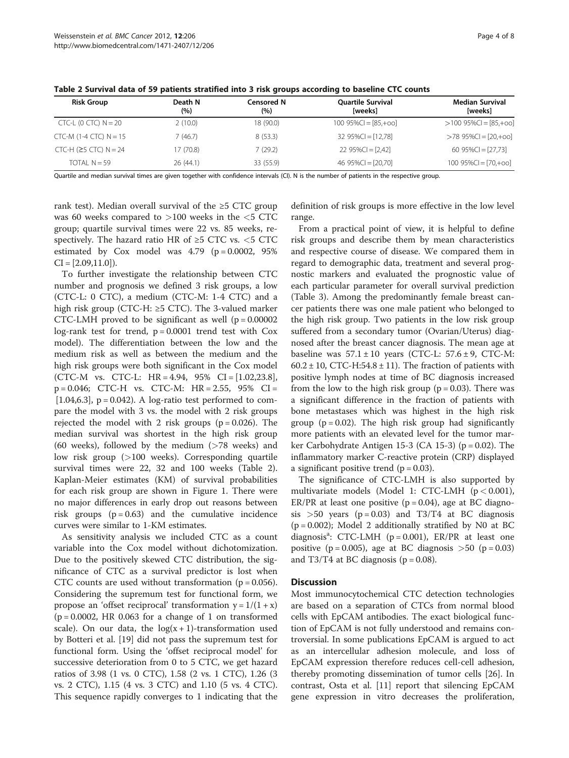| <b>Risk Group</b>              | Death N<br>(%) | Censored N<br>(%) | <b>Ouartile Survival</b><br>[weeks] | <b>Median Survival</b><br>[weeks] |  |  |
|--------------------------------|----------------|-------------------|-------------------------------------|-----------------------------------|--|--|
| $CTC-L$ (0 $CTC$ ) $N = 20$    | 2(10.0)        | 18 (90.0)         | $100\,95\%$ CI = [85,+00]           | $>100$ 95%Cl = [85,+oo]           |  |  |
| $CTC-M$ (1-4 $CTC$ ) $N = 15$  | 7 (46.7)       | 8(53.3)           | $3295\%$ CI = [12,78]               | $>78$ 95%Cl = [20,+00]            |  |  |
| $CTC-H$ ( $\geq$ 5 CTC) N = 24 | 17 (70.8)      | 7(29.2)           | $2295\%CI = [2,42]$                 | 60 95%Cl = [27,73]                |  |  |
| TOTAL $N = 59$                 | 26(44.1)       | 33 (55.9)         | 46 $95\%$ CI = [20,70]              | $10095\%$ CI = [70,+00]           |  |  |

Table 2 Survival data of 59 patients stratified into 3 risk groups according to baseline CTC counts

Quartile and median survival times are given together with confidence intervals (CI). N is the number of patients in the respective group.

rank test). Median overall survival of the  $\geq$ 5 CTC group was 60 weeks compared to  $>100$  weeks in the  $<$ 5 CTC group; quartile survival times were 22 vs. 85 weeks, respectively. The hazard ratio HR of  $\geq$ 5 CTC vs.  $<$ 5 CTC estimated by Cox model was  $4.79$  ( $p = 0.0002$ ,  $95\%$  $CI = [2.09, 11.0]$ .

To further investigate the relationship between CTC number and prognosis we defined 3 risk groups, a low (CTC-L: 0 CTC), a medium (CTC-M: 1-4 CTC) and a high risk group (CTC-H:  $\geq$ 5 CTC). The 3-valued marker CTC-LMH proved to be significant as well ( $p = 0.00002$ ) log-rank test for trend,  $p = 0.0001$  trend test with  $Cox$ model). The differentiation between the low and the medium risk as well as between the medium and the high risk groups were both significant in the Cox model (CTC-M vs. CTC-L: HR = 4.94, 95% CI = [1.02,23.8], p = 0.046; CTC-H vs. CTC-M: HR = 2.55, 95% CI = [ $1.04,6.3$ ],  $p = 0.042$ ). A log-ratio test performed to compare the model with 3 vs. the model with 2 risk groups rejected the model with 2 risk groups  $(p = 0.026)$ . The median survival was shortest in the high risk group (60 weeks), followed by the medium  $($ >78 weeks) and low risk group (>100 weeks). Corresponding quartile survival times were 22, 32 and 100 weeks (Table 2). Kaplan-Meier estimates (KM) of survival probabilities for each risk group are shown in Figure [1.](#page-4-0) There were no major differences in early drop out reasons between risk groups  $(p = 0.63)$  and the cumulative incidence curves were similar to 1-KM estimates.

As sensitivity analysis we included CTC as a count variable into the Cox model without dichotomization. Due to the positively skewed CTC distribution, the significance of CTC as a survival predictor is lost when CTC counts are used without transformation ( $p = 0.056$ ). Considering the supremum test for functional form, we propose an 'offset reciprocal' transformation  $y = 1/(1 + x)$  $(p = 0.0002, HR 0.063$  for a change of 1 on transformed scale). On our data, the  $log(x + 1)$ -transformation used by Botteri et al. [\[19](#page-7-0)] did not pass the supremum test for functional form. Using the 'offset reciprocal model' for successive deterioration from 0 to 5 CTC, we get hazard ratios of 3.98 (1 vs. 0 CTC), 1.58 (2 vs. 1 CTC), 1.26 (3 vs. 2 CTC), 1.15 (4 vs. 3 CTC) and 1.10 (5 vs. 4 CTC). This sequence rapidly converges to 1 indicating that the

definition of risk groups is more effective in the low level range.

From a practical point of view, it is helpful to define risk groups and describe them by mean characteristics and respective course of disease. We compared them in regard to demographic data, treatment and several prognostic markers and evaluated the prognostic value of each particular parameter for overall survival prediction (Table [3\)](#page-4-0). Among the predominantly female breast cancer patients there was one male patient who belonged to the high risk group. Two patients in the low risk group suffered from a secondary tumor (Ovarian/Uterus) diagnosed after the breast cancer diagnosis. The mean age at baseline was  $57.1 \pm 10$  years (CTC-L:  $57.6 \pm 9$ , CTC-M:  $60.2 \pm 10$ , CTC-H:54.8  $\pm$  11). The fraction of patients with positive lymph nodes at time of BC diagnosis increased from the low to the high risk group ( $p = 0.03$ ). There was a significant difference in the fraction of patients with bone metastases which was highest in the high risk group ( $p = 0.02$ ). The high risk group had significantly more patients with an elevated level for the tumor marker Carbohydrate Antigen 15-3 (CA 15-3) ( $p = 0.02$ ). The inflammatory marker C-reactive protein (CRP) displayed a significant positive trend  $(p = 0.03)$ .

The significance of CTC-LMH is also supported by multivariate models (Model 1: CTC-LMH  $(p < 0.001)$ , ER/PR at least one positive  $(p = 0.04)$ , age at BC diagnosis  $>50$  years (p = 0.03) and T3/T4 at BC diagnosis  $(p = 0.002)$ ; Model 2 additionally stratified by N0 at BC diagnosis<sup>a</sup>: CTC-LMH (p = 0.001), ER/PR at least one positive ( $p = 0.005$ ), age at BC diagnosis  $> 50$  ( $p = 0.03$ ) and T3/T4 at BC diagnosis ( $p = 0.08$ ).

#### **Discussion**

Most immunocytochemical CTC detection technologies are based on a separation of CTCs from normal blood cells with EpCAM antibodies. The exact biological function of EpCAM is not fully understood and remains controversial. In some publications EpCAM is argued to act as an intercellular adhesion molecule, and loss of EpCAM expression therefore reduces cell-cell adhesion, thereby promoting dissemination of tumor cells [\[26\]](#page-7-0). In contrast, Osta et al. [[11\]](#page-6-0) report that silencing EpCAM gene expression in vitro decreases the proliferation,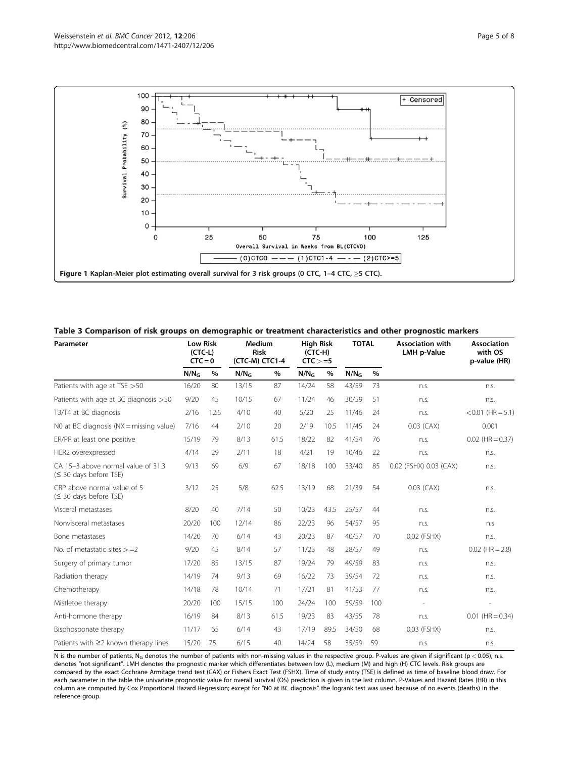<span id="page-4-0"></span>

Table 3 Comparison of risk groups on demographic or treatment characteristics and other prognostic markers

| Parameter                                                    | <b>Low Risk</b><br>$(CTC-L)$<br>$CTC = 0$ |      | <b>Medium</b><br><b>Risk</b><br>(CTC-M) CTC1-4 |      | <b>High Risk</b><br>$(CTC-H)$<br>$CTC > =5$ |      | <b>TOTAL</b>     |      | <b>Association with</b><br><b>LMH p-Value</b> | <b>Association</b><br>with OS<br>p-value (HR) |
|--------------------------------------------------------------|-------------------------------------------|------|------------------------------------------------|------|---------------------------------------------|------|------------------|------|-----------------------------------------------|-----------------------------------------------|
|                                                              | $N/N_G$                                   | $\%$ | N/N <sub>G</sub>                               | %    | N/N <sub>G</sub>                            | $\%$ | N/N <sub>G</sub> | $\%$ |                                               |                                               |
| Patients with age at TSE > 50                                | 16/20                                     | 80   | 13/15                                          | 87   | 14/24                                       | 58   | 43/59            | 73   | n.s.                                          | n.S.                                          |
| Patients with age at BC diagnosis > 50                       | 9/20                                      | 45   | 10/15                                          | 67   | 11/24                                       | 46   | 30/59            | 51   | n.s.                                          | n.s.                                          |
| T3/T4 at BC diagnosis                                        | 2/16                                      | 12.5 | 4/10                                           | 40   | 5/20                                        | 25   | 11/46            | 24   | n.s.                                          | $< 0.01$ (HR = 5.1)                           |
| NO at BC diagnosis ( $NX = missing$ value)                   | 7/16                                      | 44   | 2/10                                           | 20   | 2/19                                        | 10.5 | 11/45            | 24   | $0.03$ (CAX)                                  | 0.001                                         |
| ER/PR at least one positive                                  | 15/19                                     | 79   | 8/13                                           | 61.5 | 18/22                                       | 82   | 41/54            | 76   | n.s.                                          | $0.02$ (HR = 0.37)                            |
| HER2 overexpressed                                           | 4/14                                      | 29   | 2/11                                           | 18   | 4/21                                        | 19   | 10/46            | 22   | n.s.                                          | n.s.                                          |
| CA 15-3 above normal value of 31.3<br>(≤ 30 days before TSE) | 9/13                                      | 69   | 6/9                                            | 67   | 18/18                                       | 100  | 33/40            | 85   | 0.02 (FSHX) 0.03 (CAX)                        | n.s.                                          |
| CRP above normal value of 5<br>(≤ 30 days before TSE)        | 3/12                                      | 25   | 5/8                                            | 62.5 | 13/19                                       | 68   | 21/39            | 54   | $0.03$ (CAX)                                  | n.s.                                          |
| Visceral metastases                                          | 8/20                                      | 40   | 7/14                                           | 50   | 10/23                                       | 43.5 | 25/57            | 44   | n.s.                                          | n.s.                                          |
| Nonvisceral metastases                                       | 20/20                                     | 100  | 12/14                                          | 86   | 22/23                                       | 96   | 54/57            | 95   | n.s.                                          | n.s                                           |
| Bone metastases                                              | 14/20                                     | 70   | 6/14                                           | 43   | 20/23                                       | 87   | 40/57            | 70   | 0.02 (FSHX)                                   | n.s.                                          |
| No. of metastatic sites $> = 2$                              | 9/20                                      | 45   | 8/14                                           | 57   | 11/23                                       | 48   | 28/57            | 49   | n.s.                                          | $0.02$ (HR = 2.8)                             |
| Surgery of primary tumor                                     | 17/20                                     | 85   | 13/15                                          | 87   | 19/24                                       | 79   | 49/59            | 83   | n.s.                                          | n.s.                                          |
| Radiation therapy                                            | 14/19                                     | 74   | 9/13                                           | 69   | 16/22                                       | 73   | 39/54            | 72   | n.s.                                          | n.s.                                          |
| Chemotherapy                                                 | 14/18                                     | 78   | 10/14                                          | 71   | 17/21                                       | 81   | 41/53            | 77   | n.s.                                          | n.s.                                          |
| Mistletoe therapy                                            | 20/20                                     | 100  | 15/15                                          | 100  | 24/24                                       | 100  | 59/59            | 100  |                                               | J.                                            |
| Anti-hormone therapy                                         | 16/19                                     | 84   | 8/13                                           | 61.5 | 19/23                                       | 83   | 43/55            | 78   | n.s.                                          | $0.01$ (HR = 0.34)                            |
| Bisphosponate therapy                                        | 11/17                                     | 65   | 6/14                                           | 43   | 17/19                                       | 89.5 | 34/50            | 68   | 0.03 (FSHX)                                   | n.s.                                          |
| Patients with $\geq$ 2 known therapy lines                   | 15/20                                     | 75   | 6/15                                           | 40   | 14/24                                       | 58   | 35/59            | 59   | n.s.                                          | n.s.                                          |

N is the number of patients, N<sub>G</sub> denotes the number of patients with non-missing values in the respective group. P-values are given if significant (p < 0.05), n.s. denotes "not significant". LMH denotes the prognostic marker which differentiates between low (L), medium (M) and high (H) CTC levels. Risk groups are compared by the exact Cochrane Armitage trend test (CAX) or Fishers Exact Test (FSHX). Time of study entry (TSE) is defined as time of baseline blood draw. For each parameter in the table the univariate prognostic value for overall survival (OS) prediction is given in the last column. P-Values and Hazard Rates (HR) in this column are computed by Cox Proportional Hazard Regression; except for "N0 at BC diagnosis" the logrank test was used because of no events (deaths) in the reference group.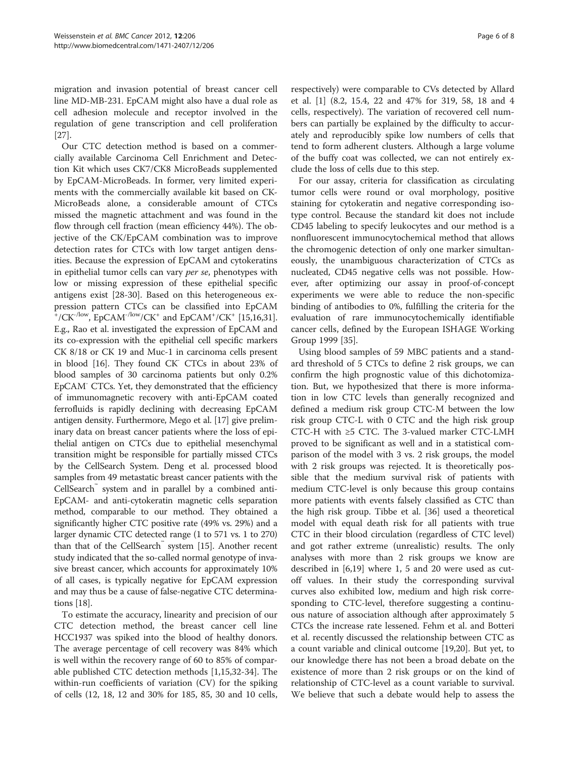migration and invasion potential of breast cancer cell line MD-MB-231. EpCAM might also have a dual role as cell adhesion molecule and receptor involved in the regulation of gene transcription and cell proliferation [[27\]](#page-7-0).

Our CTC detection method is based on a commercially available Carcinoma Cell Enrichment and Detection Kit which uses CK7/CK8 MicroBeads supplemented by EpCAM-MicroBeads. In former, very limited experiments with the commercially available kit based on CK-MicroBeads alone, a considerable amount of CTCs missed the magnetic attachment and was found in the flow through cell fraction (mean efficiency 44%). The objective of the CK/EpCAM combination was to improve detection rates for CTCs with low target antigen densities. Because the expression of EpCAM and cytokeratins in epithelial tumor cells can vary per se, phenotypes with low or missing expression of these epithelial specific antigens exist [[28](#page-7-0)-[30\]](#page-7-0). Based on this heterogeneous expression pattern CTCs can be classified into EpCAM  $^{\circ}$ /CK<sup>-/low</sup>, EpCAM<sup>-/low</sup>/CK<sup>+</sup> and EpCAM<sup>+</sup>/CK<sup>+</sup> [[15,16,31](#page-7-0)]. E.g., Rao et al. investigated the expression of EpCAM and its co-expression with the epithelial cell specific markers CK 8/18 or CK 19 and Muc-1 in carcinoma cells present in blood [\[16\]](#page-7-0). They found CK- CTCs in about 23% of blood samples of 30 carcinoma patients but only 0.2% EpCAM- CTCs. Yet, they demonstrated that the efficiency of immunomagnetic recovery with anti-EpCAM coated ferrofluids is rapidly declining with decreasing EpCAM antigen density. Furthermore, Mego et al. [\[17\]](#page-7-0) give preliminary data on breast cancer patients where the loss of epithelial antigen on CTCs due to epithelial mesenchymal transition might be responsible for partially missed CTCs by the CellSearch System. Deng et al. processed blood samples from 49 metastatic breast cancer patients with the CellSearch™ system and in parallel by a combined anti-EpCAM- and anti-cytokeratin magnetic cells separation method, comparable to our method. They obtained a significantly higher CTC positive rate (49% vs. 29%) and a larger dynamic CTC detected range (1 to 571 vs. 1 to 270) than that of the CellSearch™ system [[15](#page-7-0)]. Another recent study indicated that the so-called normal genotype of invasive breast cancer, which accounts for approximately 10% of all cases, is typically negative for EpCAM expression and may thus be a cause of false-negative CTC determinations [[18](#page-7-0)].

To estimate the accuracy, linearity and precision of our CTC detection method, the breast cancer cell line HCC1937 was spiked into the blood of healthy donors. The average percentage of cell recovery was 84% which is well within the recovery range of 60 to 85% of comparable published CTC detection methods [[1,](#page-6-0)[15,32-34\]](#page-7-0). The within-run coefficients of variation (CV) for the spiking of cells (12, 18, 12 and 30% for 185, 85, 30 and 10 cells,

respectively) were comparable to CVs detected by Allard et al. [[1](#page-6-0)] (8.2, 15.4, 22 and 47% for 319, 58, 18 and 4 cells, respectively). The variation of recovered cell numbers can partially be explained by the difficulty to accurately and reproducibly spike low numbers of cells that tend to form adherent clusters. Although a large volume of the buffy coat was collected, we can not entirely exclude the loss of cells due to this step.

For our assay, criteria for classification as circulating tumor cells were round or oval morphology, positive staining for cytokeratin and negative corresponding isotype control. Because the standard kit does not include CD45 labeling to specify leukocytes and our method is a nonfluorescent immunocytochemical method that allows the chromogenic detection of only one marker simultaneously, the unambiguous characterization of CTCs as nucleated, CD45 negative cells was not possible. However, after optimizing our assay in proof-of-concept experiments we were able to reduce the non-specific binding of antibodies to 0%, fulfilling the criteria for the evaluation of rare immunocytochemically identifiable cancer cells, defined by the European ISHAGE Working Group 1999 [[35](#page-7-0)].

Using blood samples of 59 MBC patients and a standard threshold of 5 CTCs to define 2 risk groups, we can confirm the high prognostic value of this dichotomization. But, we hypothesized that there is more information in low CTC levels than generally recognized and defined a medium risk group CTC-M between the low risk group CTC-L with 0 CTC and the high risk group CTC-H with ≥5 CTC. The 3-valued marker CTC-LMH proved to be significant as well and in a statistical comparison of the model with 3 vs. 2 risk groups, the model with 2 risk groups was rejected. It is theoretically possible that the medium survival risk of patients with medium CTC-level is only because this group contains more patients with events falsely classified as CTC than the high risk group. Tibbe et al. [[36](#page-7-0)] used a theoretical model with equal death risk for all patients with true CTC in their blood circulation (regardless of CTC level) and got rather extreme (unrealistic) results. The only analyses with more than 2 risk groups we know are described in [[6,](#page-6-0)[19\]](#page-7-0) where 1, 5 and 20 were used as cutoff values. In their study the corresponding survival curves also exhibited low, medium and high risk corresponding to CTC-level, therefore suggesting a continuous nature of association although after approximately 5 CTCs the increase rate lessened. Fehm et al. and Botteri et al. recently discussed the relationship between CTC as a count variable and clinical outcome [\[19,20](#page-7-0)]. But yet, to our knowledge there has not been a broad debate on the existence of more than 2 risk groups or on the kind of relationship of CTC-level as a count variable to survival. We believe that such a debate would help to assess the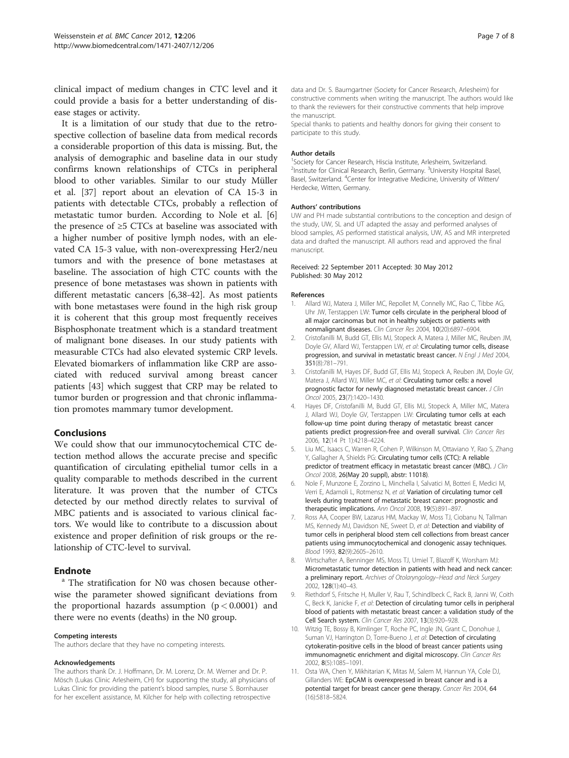<span id="page-6-0"></span>clinical impact of medium changes in CTC level and it could provide a basis for a better understanding of disease stages or activity.

It is a limitation of our study that due to the retrospective collection of baseline data from medical records a considerable proportion of this data is missing. But, the analysis of demographic and baseline data in our study confirms known relationships of CTCs in peripheral blood to other variables. Similar to our study Müller et al. [\[37](#page-7-0)] report about an elevation of CA 15-3 in patients with detectable CTCs, probably a reflection of metastatic tumor burden. According to Nole et al. [6] the presence of ≥5 CTCs at baseline was associated with a higher number of positive lymph nodes, with an elevated CA 15-3 value, with non-overexpressing Her2/neu tumors and with the presence of bone metastases at baseline. The association of high CTC counts with the presence of bone metastases was shown in patients with different metastatic cancers [6[,38-42](#page-7-0)]. As most patients with bone metastases were found in the high risk group it is coherent that this group most frequently receives Bisphosphonate treatment which is a standard treatment of malignant bone diseases. In our study patients with measurable CTCs had also elevated systemic CRP levels. Elevated biomarkers of inflammation like CRP are associated with reduced survival among breast cancer patients [[43\]](#page-7-0) which suggest that CRP may be related to tumor burden or progression and that chronic inflammation promotes mammary tumor development.

#### Conclusions

We could show that our immunocytochemical CTC detection method allows the accurate precise and specific quantification of circulating epithelial tumor cells in a quality comparable to methods described in the current literature. It was proven that the number of CTCs detected by our method directly relates to survival of MBC patients and is associated to various clinical factors. We would like to contribute to a discussion about existence and proper definition of risk groups or the relationship of CTC-level to survival.

**Endnote**<br><sup>a</sup> The stratification for N0 was chosen because otherwise the parameter showed significant deviations from the proportional hazards assumption  $(p < 0.0001)$  and there were no events (deaths) in the N0 group.

#### Competing interests

The authors declare that they have no competing interests.

#### Acknowledgements

The authors thank Dr. J. Hoffmann, Dr. M. Lorenz, Dr. M. Werner and Dr. P. Mösch (Lukas Clinic Arlesheim, CH) for supporting the study, all physicians of Lukas Clinic for providing the patient's blood samples, nurse S. Bornhauser for her excellent assistance, M. Kilcher for help with collecting retrospective

data and Dr. S. Baumgartner (Society for Cancer Research, Arlesheim) for constructive comments when writing the manuscript. The authors would like to thank the reviewers for their constructive comments that help improve the manuscript.

Special thanks to patients and healthy donors for giving their consent to participate to this study.

#### Author details

<sup>1</sup> Society for Cancer Research, Hiscia Institute, Arlesheim, Switzerland <sup>2</sup>Institute for Clinical Research, Berlin, Germany. <sup>3</sup>University Hospital Basel Basel, Switzerland. <sup>4</sup>Center for Integrative Medicine, University of Witten/ Herdecke, Witten, Germany.

#### Authors' contributions

UW and PH made substantial contributions to the conception and design of the study, UW, SL and UT adapted the assay and performed analyses of blood samples, AS performed statistical analysis, UW, AS and MR interpreted data and drafted the manuscript. All authors read and approved the final manuscript.

#### Received: 22 September 2011 Accepted: 30 May 2012 Published: 30 May 2012

#### References

- 1. Allard WJ, Matera J, Miller MC, Repollet M, Connelly MC, Rao C, Tibbe AG, Uhr JW, Terstappen LW: Tumor cells circulate in the peripheral blood of all major carcinomas but not in healthy subjects or patients with nonmalignant diseases. Clin Cancer Res 2004, 10(20):6897–6904.
- 2. Cristofanilli M, Budd GT, Ellis MJ, Stopeck A, Matera J, Miller MC, Reuben JM, Doyle GV, Allard WJ, Terstappen LW, et al: Circulating tumor cells, disease progression, and survival in metastatic breast cancer. N Engl J Med 2004, 351(8):781–791.
- 3. Cristofanilli M, Hayes DF, Budd GT, Ellis MJ, Stopeck A, Reuben JM, Doyle GV, Matera J, Allard WJ, Miller MC, et al: Circulating tumor cells: a novel prognostic factor for newly diagnosed metastatic breast cancer. J Clin Oncol 2005, 23(7):1420–1430.
- 4. Hayes DF, Cristofanilli M, Budd GT, Ellis MJ, Stopeck A, Miller MC, Matera J, Allard WJ, Doyle GV, Terstappen LW: Circulating tumor cells at each follow-up time point during therapy of metastatic breast cancer patients predict progression-free and overall survival. Clin Cancer Res 2006, 12(14 Pt 1):4218–4224.
- 5. Liu MC, Isaacs C, Warren R, Cohen P, Wilkinson M, Ottaviano Y, Rao S, Zhang Y, Gallagher A, Shields PG: Circulating tumor cells (CTC): A reliable predictor of treatment efficacy in metastatic breast cancer (MBC). J Clin Oncol 2008, 26(May 20 suppl), abstr: 11018).
- 6. Nole F, Munzone E, Zorzino L, Minchella I, Salvatici M, Botteri E, Medici M, Verri E, Adamoli L, Rotmensz N, et al: Variation of circulating tumor cell levels during treatment of metastatic breast cancer: prognostic and therapeutic implications. Ann Oncol 2008, 19(5):891–897.
- 7. Ross AA, Cooper BW, Lazarus HM, Mackay W, Moss TJ, Ciobanu N, Tallman MS, Kennedy MJ, Davidson NE, Sweet D, et al: Detection and viability of tumor cells in peripheral blood stem cell collections from breast cancer patients using immunocytochemical and clonogenic assay techniques. Blood 1993, 82(9):2605–2610.
- 8. Wirtschafter A, Benninger MS, Moss TJ, Umiel T, Blazoff K, Worsham MJ: Micrometastatic tumor detection in patients with head and neck cancer: a preliminary report. Archives of Otolaryngology-Head and Neck Surgery 2002, 128(1):40–43.
- 9. Riethdorf S, Fritsche H, Muller V, Rau T, Schindlbeck C, Rack B, Janni W, Coith C, Beck K, Janicke F, et al: Detection of circulating tumor cells in peripheral blood of patients with metastatic breast cancer: a validation study of the Cell Search system. Clin Cancer Res 2007, 13(3):920–928.
- 10. Witzig TE, Bossy B, Kimlinger T, Roche PC, Ingle JN, Grant C, Donohue J, Suman VJ, Harrington D, Torre-Bueno J, et al: Detection of circulating cytokeratin-positive cells in the blood of breast cancer patients using immunomagnetic enrichment and digital microscopy. Clin Cancer Res 2002, 8(5):1085–1091.
- 11. Osta WA, Chen Y, Mikhitarian K, Mitas M, Salem M, Hannun YA, Cole DJ, Gillanders WE: EpCAM is overexpressed in breast cancer and is a potential target for breast cancer gene therapy. Cancer Res 2004, 64 (16):5818–5824.